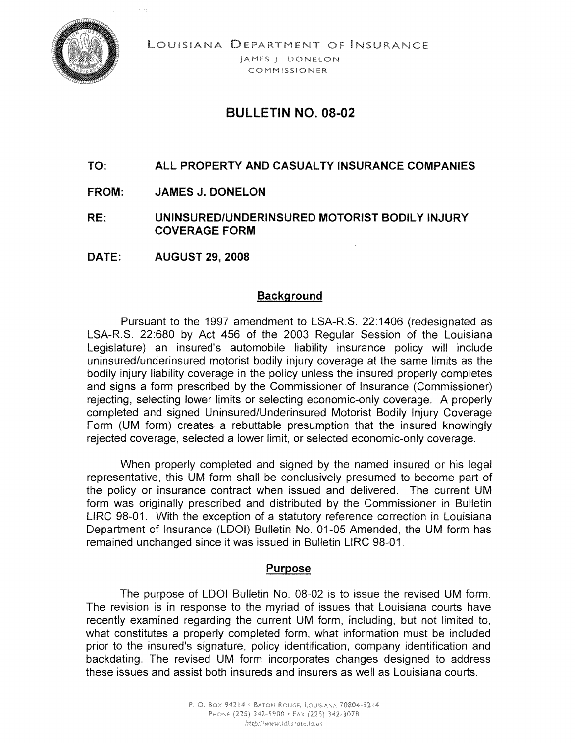

LOUISIANA DEPARTMENT OF INSURANCE

IAMES I. DONELON COMMISSIONER

## BULLETIN NO. 08-02

### TO: ALL PROPERTY AND CASUALTY INSURANCE COMPANIES

- FROM: JAMES J. DONELON
- RE: UNINSURED/UNDERINSURED MOTORIST BODILY INJURY COVERAGE FORM
- DATE: AUGUST 29, 2008

#### Background

Pursuant to the 1997 amendment to LSA-R.S. 22:1406 (redesignated as LSA-R.S. 22:680 by Act 456 of the 2003 Regular Session of the Louisiana Legislature) an insured's automobile liability insurance policy will include uninsured/underinsured motorist bodily injury coverage at the same limits as the bodily injury liability coverage in the policy unless the insured properly completes and signs a form prescribed by the Commissioner of Insurance (Commissioner) rejecting, selecting lower limits or selecting economic-only coverage. A properly completed and signed Uninsured/Underinsured Motorist Bodily Injury Coverage Form (UM form) creates a rebuttable presumption that the insured knowingly rejected coverage, selected a lower limit, or selected economic-only coverage.

When properly completed and signed by the named insured or his legal representative, this UM form shall be conclusively presumed to become part of the policy or insurance contract when issued and delivered. The current UM form was originally prescribed and distributed by the Commissioner in Bulletin L1RC 98-01. With the exception of a statutory reference correction in Louisiana Department of Insurance (LOGI) Bulletin No. 01-05 Amended, the UM form has remained unchanged since it was issued in Bulletin L1RC 98-01.

#### Purpose

The purpose of LOGI Bulletin No. 08-02 is to issue the revised UM form. The revision is in response to the myriad of issues that Louisiana courts have recently examined regarding the current UM form, including, but not limited to, what constitutes a properly completed form, what information must be included prior to the insured's signature, policy identification, company identification and backdating. The revised UM form incorporates changes designed to address these issues and assist both insureds and insurers as well as Louisiana courts.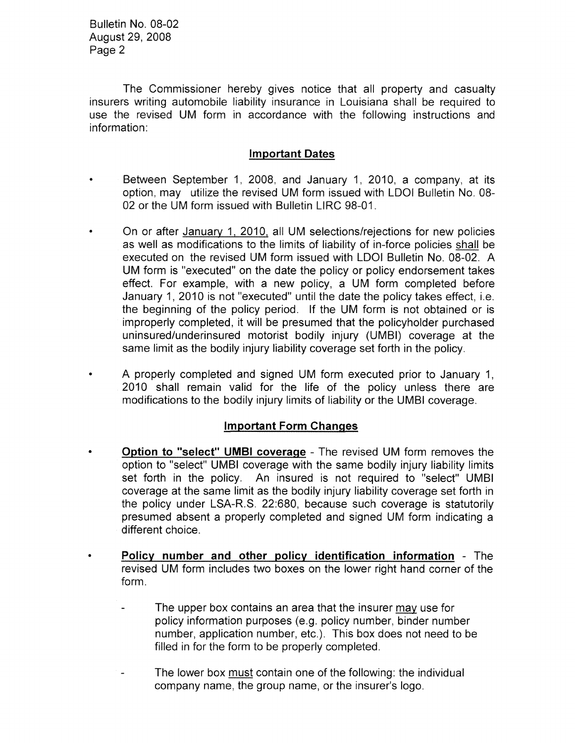Bulletin No. 08-02 August 29, 2008 Page 2

The Commissioner hereby gives notice that all property and casualty insurers writing automobile liability insurance in Louisiana shall be required to use the revised UM form in accordance with the following instructions and information:

#### **Important Dates**

- Between September 1, 2008, and January 1, 2010, a company, at its option, may utilize the revised UM form issued with LDOI Bulletin No. 08- 02 or the UM form issued with Bulletin L1RC 98-01.
- On or after January 1, 2010, all UM selections/rejections for new policies as well as modifications to the limits of liability of in-force policies shall be executed on the revised UM form issued with LDOI Bulletin No. 08-02. A UM form is "executed" on the date the policy or policy endorsement takes effect. For example, with a new policy, a UM form completed before January 1, 2010 is not "executed" until the date the policy takes effect, i.e. the beginning of the policy period. If the UM form is not obtained or is improperly completed, it will be presumed that the policyholder purchased uninsured/underinsured motorist bodily injury (UMBI) coverage at the same limit as the bodily injury liability coverage set forth in the policy.
- A properly completed and signed UM form executed prior to January 1, 2010 shall remain valid for the life of the policy unless there are modifications to the bodily injury limits of liability or the UMBI coverage.

#### **Important Form Changes**

- **• Option to "select" UMBI coverage** The revised UM form removes the option to "select" UMBI coverage with the same bodily injury liability limits set forth in the policy. An insured is not required to "select" UMBI coverage at the same limit as the bodily injury liability coverage set forth in the policy under LSA-R.S. 22:680, because such coverage is statutorily presumed absent a properly completed and signed UM form indicating a different choice.
- **• Policy number and other policy identification information** The revised UM form includes two boxes on the lower right hand corner of the form.
	- The upper box contains an area that the insurer may use for policy information purposes (e.g. policy number, binder number number, application number, etc.). This box does not need to be filled in for the form to be properly completed.
	- The lower box must contain one of the following: the individual company name, the group name, or the insurer's logo.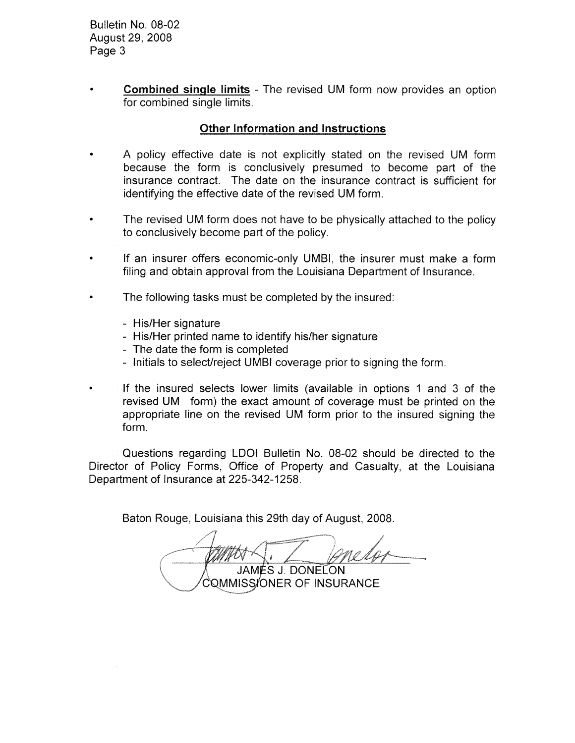Bulletin No. 08-02 August 29,2008 Page 3

**• Combined single limits** - The revised UM form now provides an option for combined single limits.

#### **Other Information and Instructions**

- A policy effective date is not explicitly stated on the revised UM form because the form is conclusively presumed to become part of the insurance contract. The date on the insurance contract is sufficient for identifying the effective date of the revised UM form.
- The revised UM form does not have to be physically attached to the policy to conclusively become part of the policy.
- If an insurer offers economic-only UMBI, the insurer must make a form filing and obtain approval from the Louisiana Department of Insurance.
- The following tasks must be completed by the insured:
	- His/Her signature
	- His/Her printed name to identify his/her signature
	- The date the form is completed
	- Initials to select/reject UMBI coverage prior to signing the form.
- If the insured selects lower limits (available in options 1 and 3 of the revised UM form) the exact amount of coverage must be printed on the appropriate line on the revised UM form prior to the insured signing the form.

Questions regarding LDOI Bulletin No. 08-02 should be directed to the Director of Policy Forms, Office of Property and Casualty, at the Louisiana Department of Insurance at 225-342-1258.

Baton Rouge, Louisiana this 29th day of August, 2008.

**JAMÉS J. DONELON** COMMISS/ONER OF INSURANCE